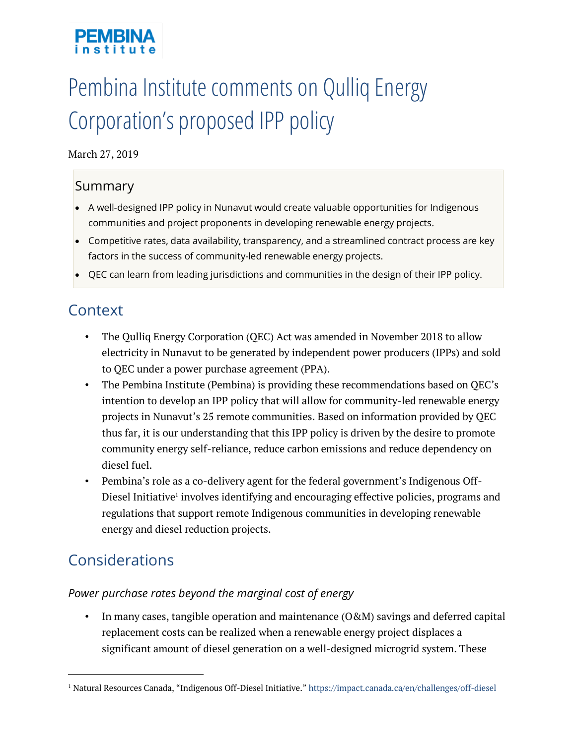# Pembina Institute comments on Qulliq Energy Corporation's proposed IPP policy

#### March 27, 2019

### Summary

- A well-designed IPP policy in Nunavut would create valuable opportunities for Indigenous communities and project proponents in developing renewable energy projects.
- Competitive rates, data availability, transparency, and a streamlined contract process are key factors in the success of community-led renewable energy projects.
- QEC can learn from leading jurisdictions and communities in the design of their IPP policy.

# **Context**

- The Qulliq Energy Corporation (QEC) Act was amended in November 2018 to allow electricity in Nunavut to be generated by independent power producers (IPPs) and sold to QEC under a power purchase agreement (PPA).
- The Pembina Institute (Pembina) is providing these recommendations based on QEC's intention to develop an IPP policy that will allow for community-led renewable energy projects in Nunavut's 25 remote communities. Based on information provided by QEC thus far, it is our understanding that this IPP policy is driven by the desire to promote community energy self-reliance, reduce carbon emissions and reduce dependency on diesel fuel.
- Pembina's role as a co-delivery agent for the federal government's Indigenous Off-Diesel Initiative<sup>1</sup> involves identifying and encouraging effective policies, programs and regulations that support remote Indigenous communities in developing renewable energy and diesel reduction projects.

# Considerations

 $\overline{a}$ 

#### *Power purchase rates beyond the marginal cost of energy*

• In many cases, tangible operation and maintenance (O&M) savings and deferred capital replacement costs can be realized when a renewable energy project displaces a significant amount of diesel generation on a well-designed microgrid system. These

<sup>1</sup> Natural Resources Canada, "Indigenous Off-Diesel Initiative." https://impact.canada.ca/en/challenges/off-diesel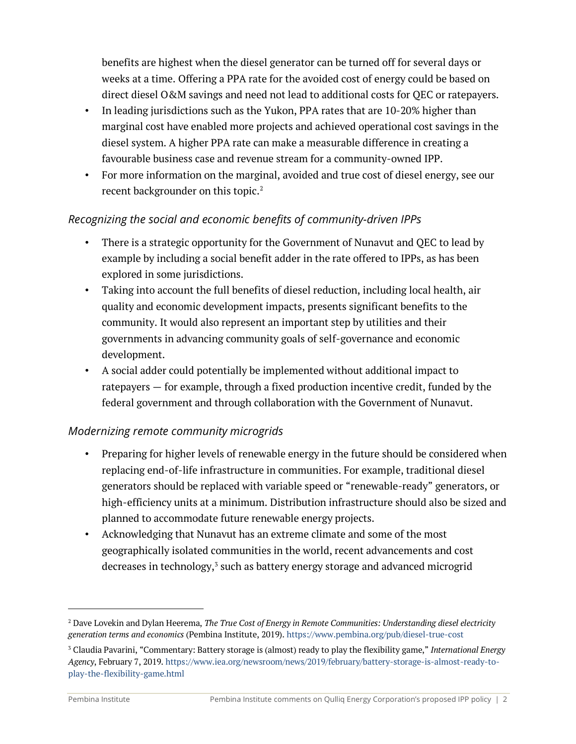benefits are highest when the diesel generator can be turned off for several days or weeks at a time. Offering a PPA rate for the avoided cost of energy could be based on direct diesel O&M savings and need not lead to additional costs for QEC or ratepayers.

- In leading jurisdictions such as the Yukon, PPA rates that are 10-20% higher than marginal cost have enabled more projects and achieved operational cost savings in the diesel system. A higher PPA rate can make a measurable difference in creating a favourable business case and revenue stream for a community-owned IPP.
- For more information on the marginal, avoided and true cost of diesel energy, see our recent backgrounder on this topic.<sup>2</sup>

#### *Recognizing the social and economic benefits of community-driven IPPs*

- There is a strategic opportunity for the Government of Nunavut and QEC to lead by example by including a social benefit adder in the rate offered to IPPs, as has been explored in some jurisdictions.
- Taking into account the full benefits of diesel reduction, including local health, air quality and economic development impacts, presents significant benefits to the community. It would also represent an important step by utilities and their governments in advancing community goals of self-governance and economic development.
- A social adder could potentially be implemented without additional impact to ratepayers — for example, through a fixed production incentive credit, funded by the federal government and through collaboration with the Government of Nunavut.

#### *Modernizing remote community microgrids*

- Preparing for higher levels of renewable energy in the future should be considered when replacing end-of-life infrastructure in communities. For example, traditional diesel generators should be replaced with variable speed or "renewable-ready" generators, or high-efficiency units at a minimum. Distribution infrastructure should also be sized and planned to accommodate future renewable energy projects.
- Acknowledging that Nunavut has an extreme climate and some of the most geographically isolated communities in the world, recent advancements and cost decreases in technology,<sup>3</sup> such as battery energy storage and advanced microgrid

 $\overline{a}$ 

<sup>2</sup> Dave Lovekin and Dylan Heerema, *The True Cost of Energy in Remote Communities: Understanding diesel electricity generation terms and economics* (Pembina Institute, 2019). https://www.pembina.org/pub/diesel-true-cost

<sup>3</sup> Claudia Pavarini, "Commentary: Battery storage is (almost) ready to play the flexibility game," *International Energy Agency*, February 7, 2019. https://www.iea.org/newsroom/news/2019/february/battery-storage-is-almost-ready-toplay-the-flexibility-game.html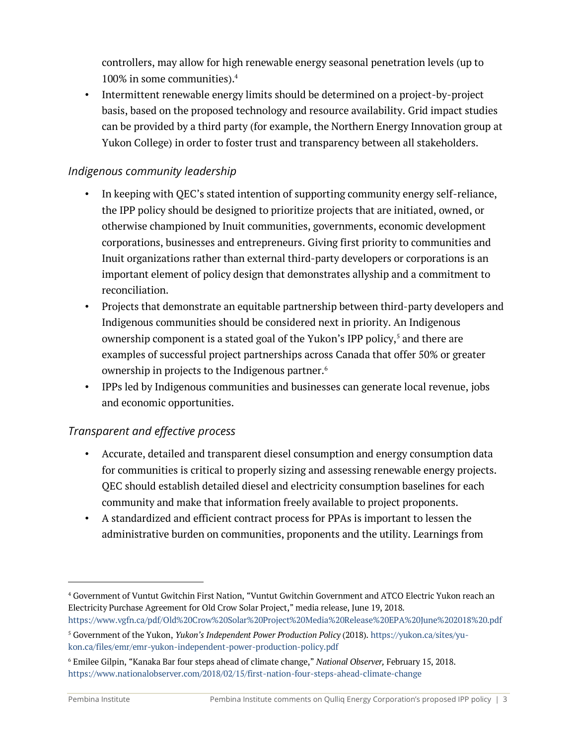controllers, may allow for high renewable energy seasonal penetration levels (up to 100% in some communities).4

• Intermittent renewable energy limits should be determined on a project-by-project basis, based on the proposed technology and resource availability. Grid impact studies can be provided by a third party (for example, the Northern Energy Innovation group at Yukon College) in order to foster trust and transparency between all stakeholders.

#### *Indigenous community leadership*

- In keeping with QEC's stated intention of supporting community energy self-reliance, the IPP policy should be designed to prioritize projects that are initiated, owned, or otherwise championed by Inuit communities, governments, economic development corporations, businesses and entrepreneurs. Giving first priority to communities and Inuit organizations rather than external third-party developers or corporations is an important element of policy design that demonstrates allyship and a commitment to reconciliation.
- Projects that demonstrate an equitable partnership between third-party developers and Indigenous communities should be considered next in priority. An Indigenous ownership component is a stated goal of the Yukon's IPP policy, <sup>5</sup> and there are examples of successful project partnerships across Canada that offer 50% or greater ownership in projects to the Indigenous partner.<sup>6</sup>
- IPPs led by Indigenous communities and businesses can generate local revenue, jobs and economic opportunities.

#### *Transparent and effective process*

- Accurate, detailed and transparent diesel consumption and energy consumption data for communities is critical to properly sizing and assessing renewable energy projects. QEC should establish detailed diesel and electricity consumption baselines for each community and make that information freely available to project proponents.
- A standardized and efficient contract process for PPAs is important to lessen the administrative burden on communities, proponents and the utility. Learnings from

 $\overline{a}$ 

<sup>4</sup> Government of Vuntut Gwitchin First Nation, "Vuntut Gwitchin Government and ATCO Electric Yukon reach an Electricity Purchase Agreement for Old Crow Solar Project," media release, June 19, 2018. https://www.vgfn.ca/pdf/Old%20Crow%20Solar%20Project%20Media%20Release%20EPA%20June%202018%20.pdf

<sup>5</sup> Government of the Yukon, *Yukon's Independent Power Production Policy* (2018). https://yukon.ca/sites/yukon.ca/files/emr/emr-yukon-independent-power-production-policy.pdf

<sup>6</sup> Emilee Gilpin, "Kanaka Bar four steps ahead of climate change," *National Observer,* February 15, 2018. https://www.nationalobserver.com/2018/02/15/first-nation-four-steps-ahead-climate-change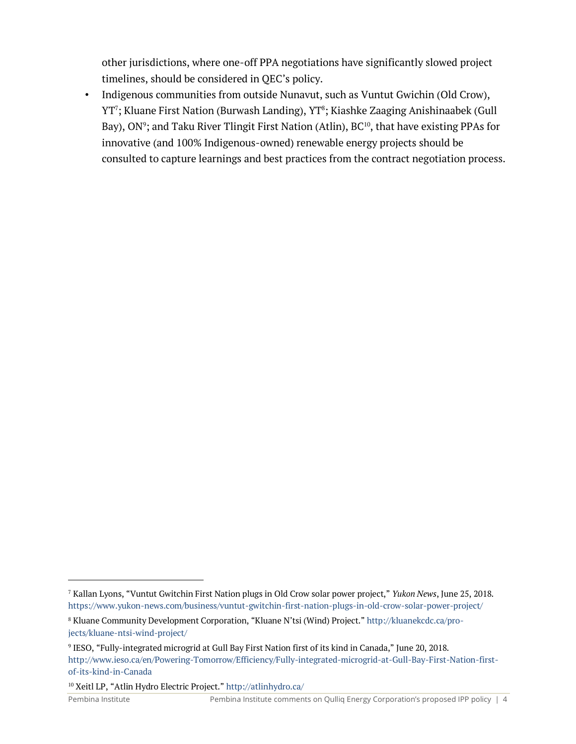other jurisdictions, where one-off PPA negotiations have significantly slowed project timelines, should be considered in QEC's policy.

• Indigenous communities from outside Nunavut, such as Vuntut Gwichin (Old Crow), YT<sup>7</sup>; Kluane First Nation (Burwash Landing), YT<sup>8</sup>; Kiashke Zaaging Anishinaabek (Gull Bay), ON<sup>9</sup>; and Taku River Tlingit First Nation (Atlin), BC $^{10}$ , that have existing PPAs for innovative (and 100% Indigenous-owned) renewable energy projects should be consulted to capture learnings and best practices from the contract negotiation process.

 $\overline{a}$ 

<sup>7</sup> Kallan Lyons, "Vuntut Gwitchin First Nation plugs in Old Crow solar power project," *Yukon News*, June 25, 2018. https://www.yukon-news.com/business/vuntut-gwitchin-first-nation-plugs-in-old-crow-solar-power-project/

<sup>8</sup> Kluane Community Development Corporation, "Kluane N'tsi (Wind) Project." http://kluanekcdc.ca/projects/kluane-ntsi-wind-project/

<sup>9</sup> IESO, "Fully-integrated microgrid at Gull Bay First Nation first of its kind in Canada," June 20, 2018. http://www.ieso.ca/en/Powering-Tomorrow/Efficiency/Fully-integrated-microgrid-at-Gull-Bay-First-Nation-firstof-its-kind-in-Canada

<sup>10</sup> Xeitl LP, "Atlin Hydro Electric Project." http://atlinhydro.ca/